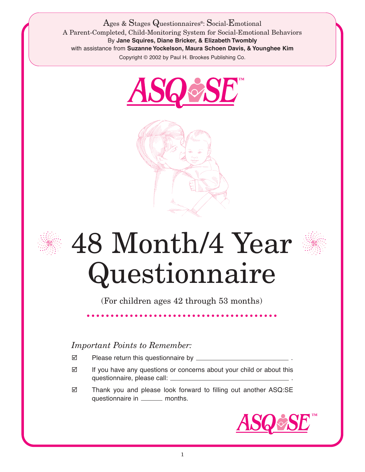Ages & Stages Questionnaires®: Social-Emotional A Parent-Completed, Child-Monitoring System for Social-Emotional Behaviors By **Jane Squires, Diane Bricker, & Elizabeth Twombly** with assistance from **Suzanne Yockelson, Maura Schoen Davis, & Younghee Kim** Copyright © 2002 by Paul H. Brookes Publishing Co.







## 48 Month/4 Year Questionnaire

(For children ages 42 through 53 months)

## *Important Points to Remember:*

- Please return this questionnaire by \_\_\_\_\_\_\_\_\_
- $\boxtimes$  If you have any questions or concerns about your child or about this questionnaire, please call: .
- Thank you and please look forward to filling out another ASQ:SE questionnaire in \_\_\_\_\_\_\_ months.

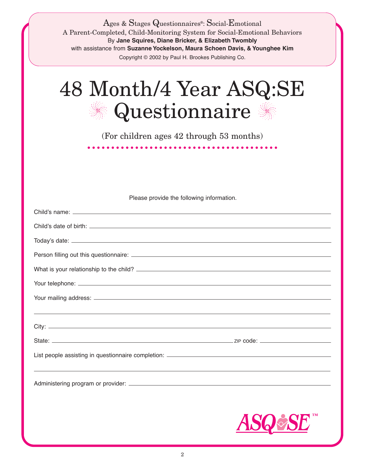| Ages & Stages Questionnaires <sup>®</sup> : Social-Emotional<br>A Parent-Completed, Child-Monitoring System for Social-Emotional Behaviors<br>By Jane Squires, Diane Bricker, & Elizabeth Twombly<br>with assistance from Suzanne Yockelson, Maura Schoen Davis, & Younghee Kim<br>Copyright © 2002 by Paul H. Brookes Publishing Co. |
|---------------------------------------------------------------------------------------------------------------------------------------------------------------------------------------------------------------------------------------------------------------------------------------------------------------------------------------|
| 48 Month/4 Year ASQ:SE<br>Questionnaire                                                                                                                                                                                                                                                                                               |
| (For children ages 42 through 53 months)                                                                                                                                                                                                                                                                                              |
| .                                                                                                                                                                                                                                                                                                                                     |
|                                                                                                                                                                                                                                                                                                                                       |
|                                                                                                                                                                                                                                                                                                                                       |
| Please provide the following information.                                                                                                                                                                                                                                                                                             |
|                                                                                                                                                                                                                                                                                                                                       |
|                                                                                                                                                                                                                                                                                                                                       |
|                                                                                                                                                                                                                                                                                                                                       |
|                                                                                                                                                                                                                                                                                                                                       |
|                                                                                                                                                                                                                                                                                                                                       |
|                                                                                                                                                                                                                                                                                                                                       |
|                                                                                                                                                                                                                                                                                                                                       |
|                                                                                                                                                                                                                                                                                                                                       |
|                                                                                                                                                                                                                                                                                                                                       |
|                                                                                                                                                                                                                                                                                                                                       |
|                                                                                                                                                                                                                                                                                                                                       |
|                                                                                                                                                                                                                                                                                                                                       |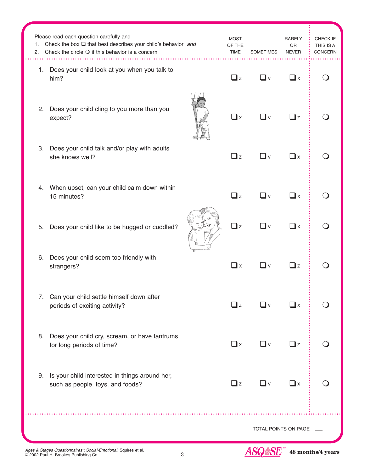| 1.<br>2.             | Please read each question carefully and<br>Check the box $\square$ that best describes your child's behavior and<br>Check the circle $\bigcirc$ if this behavior is a concern | <b>MOST</b><br>OF THE<br><b>TIME</b> | <b>SOMETIMES</b> | <b>RARELY</b><br>OR<br><b>NEVER</b> | CHECK IF<br>THIS IS A<br>CONCERN |
|----------------------|-------------------------------------------------------------------------------------------------------------------------------------------------------------------------------|--------------------------------------|------------------|-------------------------------------|----------------------------------|
|                      | 1. Does your child look at you when you talk to<br>him?                                                                                                                       | $\Box$ z                             | ∎∨               | $\Box$ x                            |                                  |
| 2.                   | Does your child cling to you more than you<br>expect?                                                                                                                         | $\square$ x                          | _l ∨             | $\square$ z                         |                                  |
| 3.                   | Does your child talk and/or play with adults<br>she knows well?                                                                                                               | $\Box$ z                             | ∎∨               | $\square$ x                         |                                  |
| 4.                   | When upset, can your child calm down within<br>15 minutes?                                                                                                                    | $\square$ z                          | ∎∨               | $\square$ x                         |                                  |
| 5.                   | Does your child like to be hugged or cuddled?                                                                                                                                 | $\Box$ z                             | _l v             | $\square$ x                         |                                  |
| 6.                   | Does your child seem too friendly with<br>strangers?                                                                                                                          | $\square$ x                          | $\mathbf{I}$ v   | $\square$ z                         |                                  |
| 7.                   | Can your child settle himself down after<br>periods of exciting activity?                                                                                                     | $\Box$ z                             | <b>_ </b> ∨      | $\Box$ x                            |                                  |
| 8.                   | Does your child cry, scream, or have tantrums<br>for long periods of time?                                                                                                    | $\Box$ x                             | ◘∨               | $\Box$ z                            |                                  |
| 9.                   | Is your child interested in things around her,<br>such as people, toys, and foods?                                                                                            | Qz                                   | $\square$ v      | $\Box$ x                            |                                  |
| TOTAL POINTS ON PAGE |                                                                                                                                                                               |                                      |                  | $\sim$                              |                                  |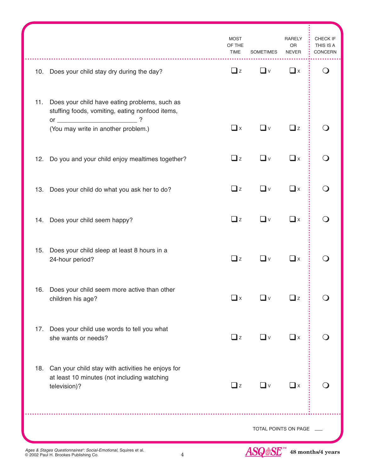|     |                                                                                                                      | <b>MOST</b><br>OF THE<br>TIME | <b>SOMETIMES</b>     | RARELY<br>OR<br><b>NEVER</b> | CHECK IF<br>THIS IS A<br>CONCERN |
|-----|----------------------------------------------------------------------------------------------------------------------|-------------------------------|----------------------|------------------------------|----------------------------------|
|     | 10. Does your child stay dry during the day?                                                                         | $\Box$ z                      | $\Box$ v             | $\square$ x                  | $\left( \quad \right)$           |
| 11. | Does your child have eating problems, such as<br>stuffing foods, vomiting, eating nonfood items,<br>?                |                               |                      |                              |                                  |
|     | (You may write in another problem.)                                                                                  | $\Box$ x                      | ◘∨                   | $\Box$ z                     |                                  |
|     | 12. Do you and your child enjoy mealtimes together?                                                                  | $\Box$ z                      | $\Box$ v             | $\square$ x                  |                                  |
|     | 13. Does your child do what you ask her to do?                                                                       | $\Box$ z                      | ❏ⅴ                   | $\square$ x                  |                                  |
|     | 14. Does your child seem happy?                                                                                      | $\Box$ z                      | <b>∟</b> ∨           | $\square$ x                  |                                  |
|     | 15. Does your child sleep at least 8 hours in a<br>24-hour period?                                                   | $\Box$ z                      | _l ∨                 | $\square$ x                  |                                  |
| 16. | Does your child seem more active than other<br>children his age?                                                     | $\square$ x                   | l v                  | $\mathbf{z}$                 |                                  |
| 17. | Does your child use words to tell you what<br>she wants or needs?                                                    | $\Box$ z                      | <b>U</b> ∨           | $\square$ x                  |                                  |
|     | 18. Can your child stay with activities he enjoys for<br>at least 10 minutes (not including watching<br>television)? | $\Box$ z                      | ❏ⅴ                   | $\square$ x                  |                                  |
|     |                                                                                                                      |                               | TOTAL POINTS ON PAGE |                              |                                  |

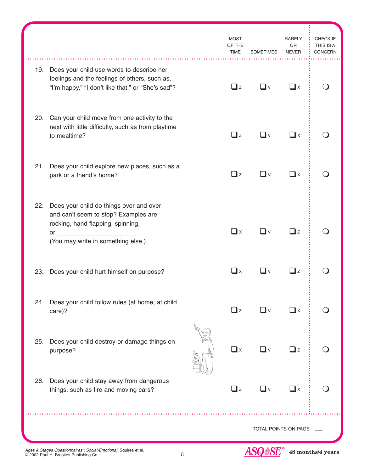|                      |                                                                                                                                                                               |  | <b>MOST</b><br>OF THE<br><b>TIME</b> | <b>SOMETIMES</b> | RARELY<br>0R<br><b>NEVER</b> | CHECK IF<br>THIS IS A<br><b>CONCERN</b> |
|----------------------|-------------------------------------------------------------------------------------------------------------------------------------------------------------------------------|--|--------------------------------------|------------------|------------------------------|-----------------------------------------|
| 19.                  | Does your child use words to describe her<br>feelings and the feelings of others, such as,<br>"I'm happy," "I don't like that," or "She's sad"?                               |  | $\Box$ z                             | $\Box$ v         | $\Box$ x                     |                                         |
| 20.                  | Can your child move from one activity to the<br>next with little difficulty, such as from playtime<br>to mealtime?                                                            |  | $\Box$ z                             | $\square$ v      | $\square$ x                  |                                         |
| 21.                  | Does your child explore new places, such as a<br>park or a friend's home?                                                                                                     |  | $\Box$ z                             | ◘∨               | $\square$ x                  |                                         |
| 22.                  | Does your child do things over and over<br>and can't seem to stop? Examples are<br>rocking, hand flapping, spinning,<br>$or \fbox{---}$<br>(You may write in something else.) |  | $\Box$ x                             | ∐∨               | $\Box$ z                     |                                         |
| 23.                  | Does your child hurt himself on purpose?                                                                                                                                      |  | $\Box$ x                             | l I v            | $\square$ z                  |                                         |
| 24.                  | Does your child follow rules (at home, at child<br>care)?                                                                                                                     |  | $\Box$ z                             | ◘∨               | $\Box$ $\times$              |                                         |
| 25.                  | Does your child destroy or damage things on<br>purpose?                                                                                                                       |  | $\Box$ x                             | $\Box$ v         | $\Box$ z                     |                                         |
| 26.                  | Does your child stay away from dangerous<br>things, such as fire and moving cars?                                                                                             |  | $\Box$ z                             | ❏ⅴ               | $\square$ x                  |                                         |
| TOTAL POINTS ON PAGE |                                                                                                                                                                               |  |                                      |                  |                              |                                         |

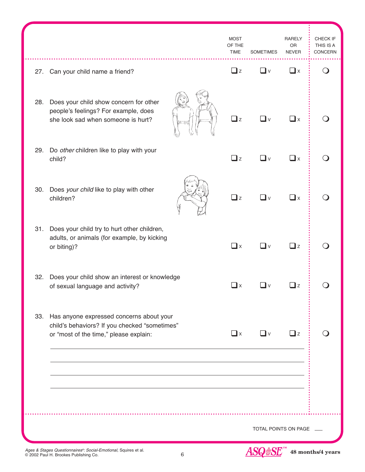|     |                                                                                                                                     | <b>MOST</b><br>OF THE<br><b>TIME</b> | <b>SOMETIMES</b>     | <b>RARELY</b><br>OR<br><b>NEVER</b> | CHECK IF<br>THIS IS A<br>CONCERN |
|-----|-------------------------------------------------------------------------------------------------------------------------------------|--------------------------------------|----------------------|-------------------------------------|----------------------------------|
|     | 27. Can your child name a friend?                                                                                                   | $\Box$ z                             | $\Box$ v             | $\Box$ x                            | $\Omega$                         |
| 28. | Does your child show concern for other<br>people's feelings? For example, does<br>she look sad when someone is hurt?                | $\Box$ z                             | ∐∨                   | $\Box$ x                            |                                  |
| 29. | Do other children like to play with your<br>child?                                                                                  | $\Box$ z                             | $\Box$ v             | $\Box$ x                            |                                  |
| 30. | Does your child like to play with other<br>children?                                                                                | $\Box$ z                             | $\Box$ v             | $\Box$ x                            |                                  |
| 31. | Does your child try to hurt other children,<br>adults, or animals (for example, by kicking<br>or biting)?                           | $\Box$ x                             | ❏ⅴ                   | $\Box$ z                            |                                  |
| 32. | Does your child show an interest or knowledge<br>of sexual language and activity?                                                   | $\Box$ x                             | _l ∨                 | $\Box$ z                            |                                  |
| 33. | Has anyone expressed concerns about your<br>child's behaviors? If you checked "sometimes"<br>or "most of the time," please explain: | $\Box$ x                             | $\Box$ v             | $\Box$ z                            |                                  |
|     |                                                                                                                                     |                                      |                      |                                     |                                  |
|     |                                                                                                                                     |                                      |                      |                                     |                                  |
|     |                                                                                                                                     |                                      | TOTAL POINTS ON PAGE |                                     |                                  |